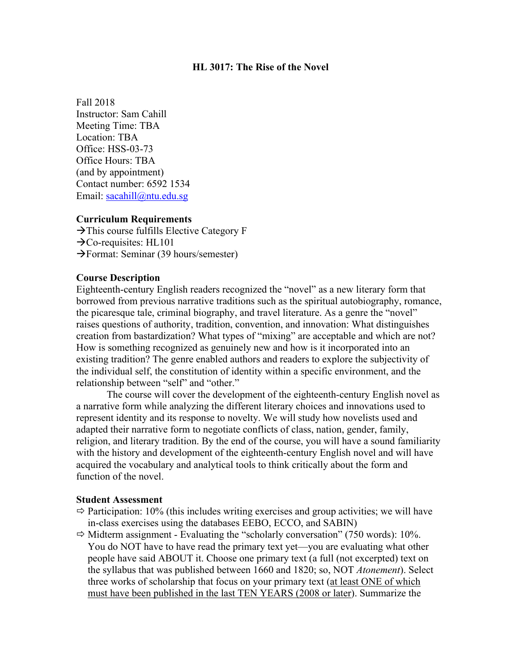### **HL 3017: The Rise of the Novel**

Fall 2018 Instructor: Sam Cahill Meeting Time: TBA Location: TBA Office: HSS-03-73 Office Hours: TBA (and by appointment) Contact number: 6592 1534 Email: [sacahill@ntu.edu.sg](mailto:sacahill@ntu.edu.sg)

### **Curriculum Requirements**

 $\rightarrow$  This course fulfills Elective Category F  $\rightarrow$ Co-requisites: HL101  $\rightarrow$  Format: Seminar (39 hours/semester)

#### **Course Description**

Eighteenth-century English readers recognized the "novel" as a new literary form that borrowed from previous narrative traditions such as the spiritual autobiography, romance, the picaresque tale, criminal biography, and travel literature. As a genre the "novel" raises questions of authority, tradition, convention, and innovation: What distinguishes creation from bastardization? What types of "mixing" are acceptable and which are not? How is something recognized as genuinely new and how is it incorporated into an existing tradition? The genre enabled authors and readers to explore the subjectivity of the individual self, the constitution of identity within a specific environment, and the relationship between "self" and "other."

The course will cover the development of the eighteenth-century English novel as a narrative form while analyzing the different literary choices and innovations used to represent identity and its response to novelty. We will study how novelists used and adapted their narrative form to negotiate conflicts of class, nation, gender, family, religion, and literary tradition. By the end of the course, you will have a sound familiarity with the history and development of the eighteenth-century English novel and will have acquired the vocabulary and analytical tools to think critically about the form and function of the novel.

### **Student Assessment**

- $\Rightarrow$  Participation: 10% (this includes writing exercises and group activities; we will have in-class exercises using the databases EEBO, ECCO, and SABIN)
- $\Rightarrow$  Midterm assignment Evaluating the "scholarly conversation" (750 words): 10%. You do NOT have to have read the primary text yet—you are evaluating what other people have said ABOUT it. Choose one primary text (a full (not excerpted) text on the syllabus that was published between 1660 and 1820; so, NOT *Atonement*). Select three works of scholarship that focus on your primary text (at least ONE of which must have been published in the last TEN YEARS (2008 or later). Summarize the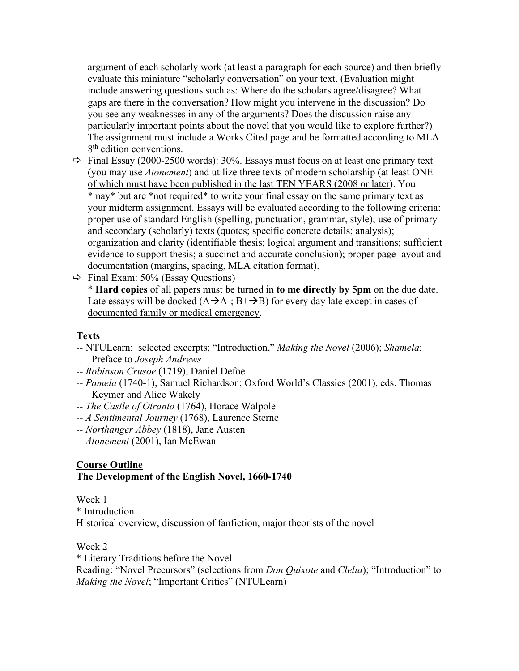argument of each scholarly work (at least a paragraph for each source) and then briefly evaluate this miniature "scholarly conversation" on your text. (Evaluation might include answering questions such as: Where do the scholars agree/disagree? What gaps are there in the conversation? How might you intervene in the discussion? Do you see any weaknesses in any of the arguments? Does the discussion raise any particularly important points about the novel that you would like to explore further?) The assignment must include a Works Cited page and be formatted according to MLA 8<sup>th</sup> edition conventions.

- $\Rightarrow$  Final Essay (2000-2500 words): 30%. Essays must focus on at least one primary text (you may use *Atonement*) and utilize three texts of modern scholarship (at least ONE of which must have been published in the last TEN YEARS (2008 or later). You \*may\* but are \*not required\* to write your final essay on the same primary text as your midterm assignment. Essays will be evaluated according to the following criteria: proper use of standard English (spelling, punctuation, grammar, style); use of primary and secondary (scholarly) texts (quotes; specific concrete details; analysis); organization and clarity (identifiable thesis; logical argument and transitions; sufficient evidence to support thesis; a succinct and accurate conclusion); proper page layout and documentation (margins, spacing, MLA citation format).
- $\Rightarrow$  Final Exam: 50% (Essay Questions)

\* **Hard copies** of all papers must be turned in **to me directly by 5pm** on the due date. Late essays will be docked  $(A\rightarrow A^{-}; B^{+}\rightarrow B)$  for every day late except in cases of documented family or medical emergency.

### **Texts**

- *--* NTULearn: selected excerpts; "Introduction," *Making the Novel* (2006); *Shamela*; Preface to *Joseph Andrews*
- -- *Robinson Crusoe* (1719), Daniel Defoe
- *-- Pamela* (1740-1), Samuel Richardson; Oxford World's Classics (2001), eds. Thomas Keymer and Alice Wakely
- *-- The Castle of Otranto* (1764), Horace Walpole
- *-- A Sentimental Journey* (1768), Laurence Sterne
- *-- Northanger Abbey* (1818), Jane Austen
- *-- Atonement* (2001), Ian McEwan

# **Course Outline The Development of the English Novel, 1660-1740**

Week 1 \* Introduction Historical overview, discussion of fanfiction, major theorists of the novel

Week 2

\* Literary Traditions before the Novel

Reading: "Novel Precursors" (selections from *Don Quixote* and *Clelia*); "Introduction" to *Making the Novel*; "Important Critics" (NTULearn)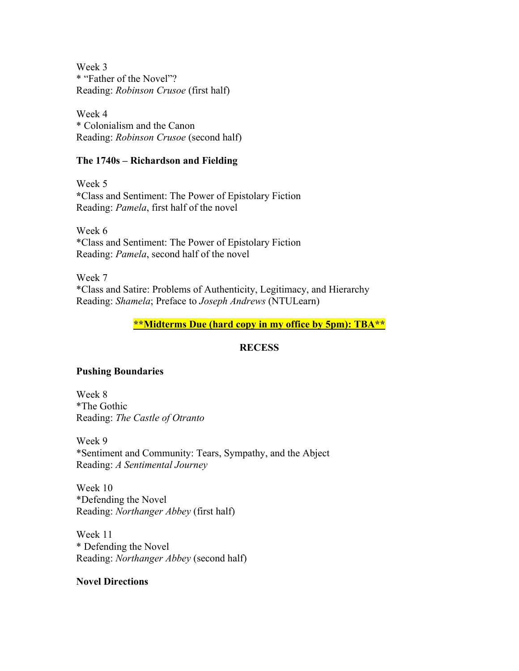Week 3 \* "Father of the Novel"? Reading: *Robinson Crusoe* (first half)

Week 4 \* Colonialism and the Canon Reading: *Robinson Crusoe* (second half)

### **The 1740s – Richardson and Fielding**

Week 5 **\***Class and Sentiment: The Power of Epistolary Fiction Reading: *Pamela*, first half of the novel

Week 6 \*Class and Sentiment: The Power of Epistolary Fiction Reading: *Pamela*, second half of the novel

Week 7 \*Class and Satire: Problems of Authenticity, Legitimacy, and Hierarchy Reading: *Shamela*; Preface to *Joseph Andrews* (NTULearn)

# **\*\*Midterms Due (hard copy in my office by 5pm): TBA\*\***

# **RECESS**

# **Pushing Boundaries**

Week 8 \*The Gothic Reading: *The Castle of Otranto*

Week 9 \*Sentiment and Community: Tears, Sympathy, and the Abject Reading: *A Sentimental Journey*

Week 10 \*Defending the Novel Reading: *Northanger Abbey* (first half)

Week 11 \* Defending the Novel Reading: *Northanger Abbey* (second half)

# **Novel Directions**